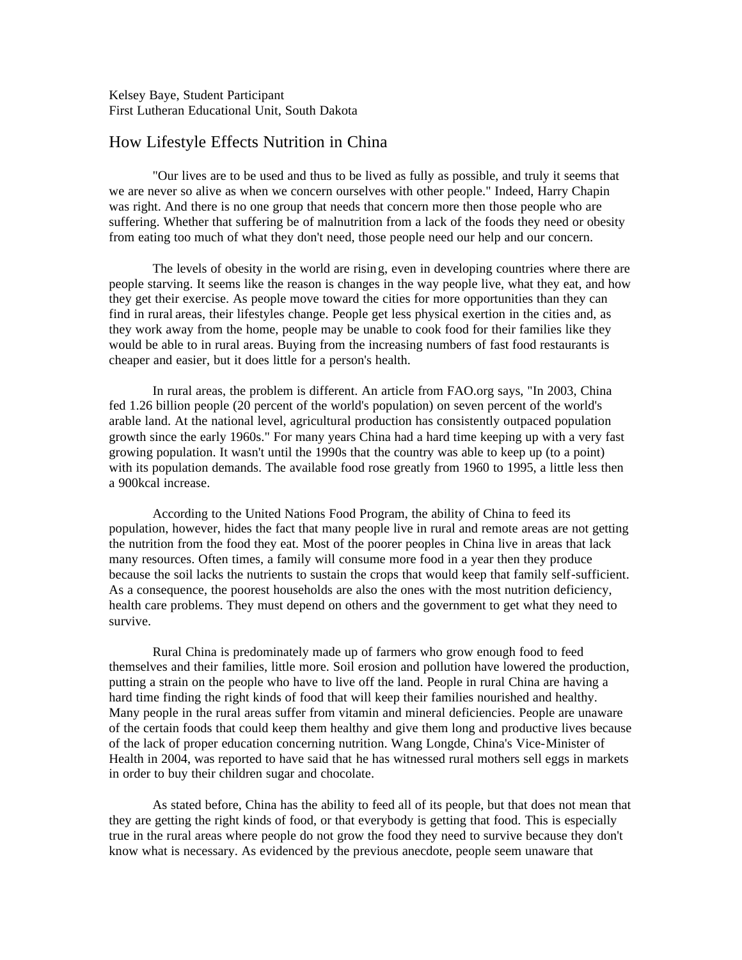Kelsey Baye, Student Participant First Lutheran Educational Unit, South Dakota

## How Lifestyle Effects Nutrition in China

"Our lives are to be used and thus to be lived as fully as possible, and truly it seems that we are never so alive as when we concern ourselves with other people." Indeed, Harry Chapin was right. And there is no one group that needs that concern more then those people who are suffering. Whether that suffering be of malnutrition from a lack of the foods they need or obesity from eating too much of what they don't need, those people need our help and our concern.

The levels of obesity in the world are rising, even in developing countries where there are people starving. It seems like the reason is changes in the way people live, what they eat, and how they get their exercise. As people move toward the cities for more opportunities than they can find in rural areas, their lifestyles change. People get less physical exertion in the cities and, as they work away from the home, people may be unable to cook food for their families like they would be able to in rural areas. Buying from the increasing numbers of fast food restaurants is cheaper and easier, but it does little for a person's health.

In rural areas, the problem is different. An article from FAO.org says, "In 2003, China fed 1.26 billion people (20 percent of the world's population) on seven percent of the world's arable land. At the national level, agricultural production has consistently outpaced population growth since the early 1960s." For many years China had a hard time keeping up with a very fast growing population. It wasn't until the 1990s that the country was able to keep up (to a point) with its population demands. The available food rose greatly from 1960 to 1995, a little less then a 900kcal increase.

According to the United Nations Food Program, the ability of China to feed its population, however, hides the fact that many people live in rural and remote areas are not getting the nutrition from the food they eat. Most of the poorer peoples in China live in areas that lack many resources. Often times, a family will consume more food in a year then they produce because the soil lacks the nutrients to sustain the crops that would keep that family self-sufficient. As a consequence, the poorest households are also the ones with the most nutrition deficiency, health care problems. They must depend on others and the government to get what they need to survive.

Rural China is predominately made up of farmers who grow enough food to feed themselves and their families, little more. Soil erosion and pollution have lowered the production, putting a strain on the people who have to live off the land. People in rural China are having a hard time finding the right kinds of food that will keep their families nourished and healthy. Many people in the rural areas suffer from vitamin and mineral deficiencies. People are unaware of the certain foods that could keep them healthy and give them long and productive lives because of the lack of proper education concerning nutrition. Wang Longde, China's Vice-Minister of Health in 2004, was reported to have said that he has witnessed rural mothers sell eggs in markets in order to buy their children sugar and chocolate.

As stated before, China has the ability to feed all of its people, but that does not mean that they are getting the right kinds of food, or that everybody is getting that food. This is especially true in the rural areas where people do not grow the food they need to survive because they don't know what is necessary. As evidenced by the previous anecdote, people seem unaware that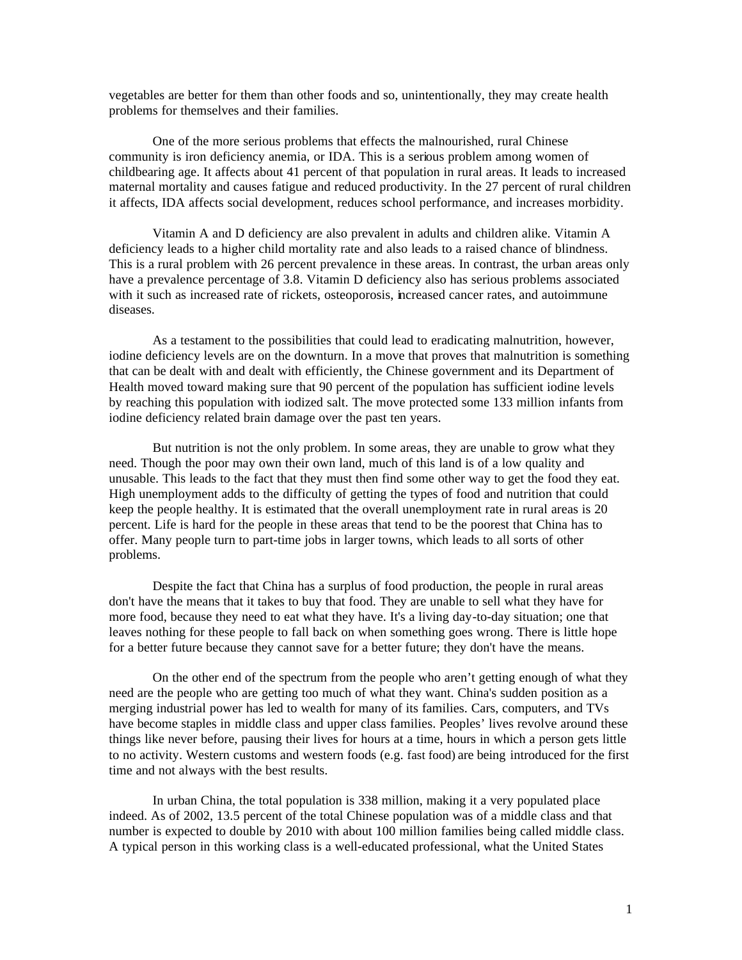vegetables are better for them than other foods and so, unintentionally, they may create health problems for themselves and their families.

One of the more serious problems that effects the malnourished, rural Chinese community is iron deficiency anemia, or IDA. This is a serious problem among women of childbearing age. It affects about 41 percent of that population in rural areas. It leads to increased maternal mortality and causes fatigue and reduced productivity. In the 27 percent of rural children it affects, IDA affects social development, reduces school performance, and increases morbidity.

Vitamin A and D deficiency are also prevalent in adults and children alike. Vitamin A deficiency leads to a higher child mortality rate and also leads to a raised chance of blindness. This is a rural problem with 26 percent prevalence in these areas. In contrast, the urban areas only have a prevalence percentage of 3.8. Vitamin D deficiency also has serious problems associated with it such as increased rate of rickets, osteoporosis, increased cancer rates, and autoimmune diseases.

As a testament to the possibilities that could lead to eradicating malnutrition, however, iodine deficiency levels are on the downturn. In a move that proves that malnutrition is something that can be dealt with and dealt with efficiently, the Chinese government and its Department of Health moved toward making sure that 90 percent of the population has sufficient iodine levels by reaching this population with iodized salt. The move protected some 133 million infants from iodine deficiency related brain damage over the past ten years.

But nutrition is not the only problem. In some areas, they are unable to grow what they need. Though the poor may own their own land, much of this land is of a low quality and unusable. This leads to the fact that they must then find some other way to get the food they eat. High unemployment adds to the difficulty of getting the types of food and nutrition that could keep the people healthy. It is estimated that the overall unemployment rate in rural areas is 20 percent. Life is hard for the people in these areas that tend to be the poorest that China has to offer. Many people turn to part-time jobs in larger towns, which leads to all sorts of other problems.

Despite the fact that China has a surplus of food production, the people in rural areas don't have the means that it takes to buy that food. They are unable to sell what they have for more food, because they need to eat what they have. It's a living day-to-day situation; one that leaves nothing for these people to fall back on when something goes wrong. There is little hope for a better future because they cannot save for a better future; they don't have the means.

On the other end of the spectrum from the people who aren't getting enough of what they need are the people who are getting too much of what they want. China's sudden position as a merging industrial power has led to wealth for many of its families. Cars, computers, and TVs have become staples in middle class and upper class families. Peoples' lives revolve around these things like never before, pausing their lives for hours at a time, hours in which a person gets little to no activity. Western customs and western foods (e.g. fast food) are being introduced for the first time and not always with the best results.

In urban China, the total population is 338 million, making it a very populated place indeed. As of 2002, 13.5 percent of the total Chinese population was of a middle class and that number is expected to double by 2010 with about 100 million families being called middle class. A typical person in this working class is a well-educated professional, what the United States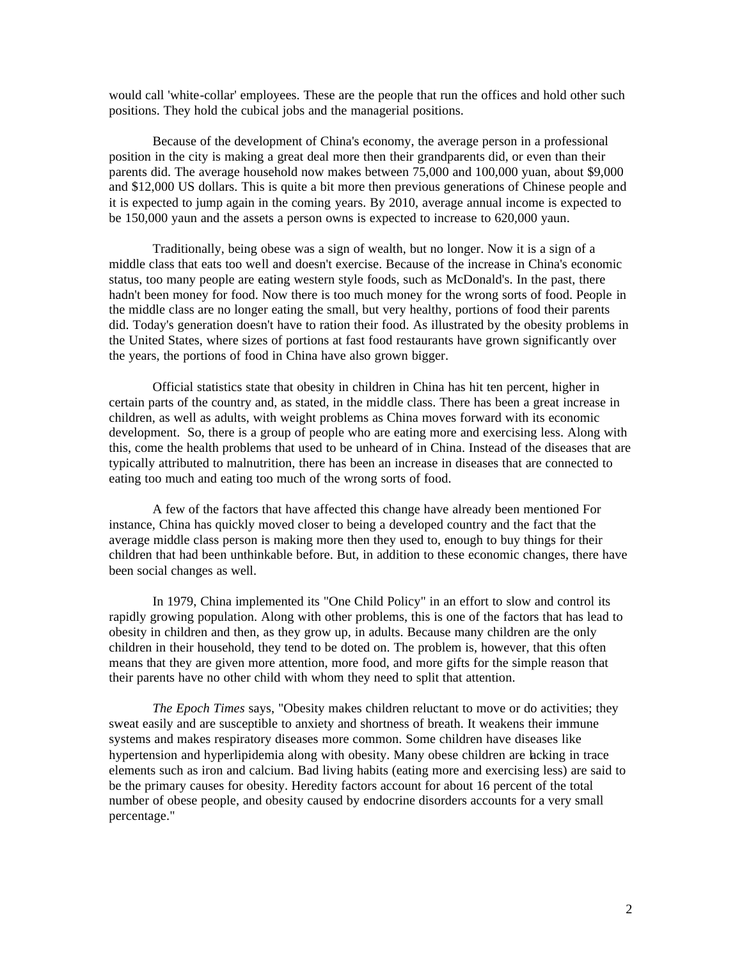would call 'white-collar' employees. These are the people that run the offices and hold other such positions. They hold the cubical jobs and the managerial positions.

Because of the development of China's economy, the average person in a professional position in the city is making a great deal more then their grandparents did, or even than their parents did. The average household now makes between 75,000 and 100,000 yuan, about \$9,000 and \$12,000 US dollars. This is quite a bit more then previous generations of Chinese people and it is expected to jump again in the coming years. By 2010, average annual income is expected to be 150,000 yaun and the assets a person owns is expected to increase to 620,000 yaun.

Traditionally, being obese was a sign of wealth, but no longer. Now it is a sign of a middle class that eats too well and doesn't exercise. Because of the increase in China's economic status, too many people are eating western style foods, such as McDonald's. In the past, there hadn't been money for food. Now there is too much money for the wrong sorts of food. People in the middle class are no longer eating the small, but very healthy, portions of food their parents did. Today's generation doesn't have to ration their food. As illustrated by the obesity problems in the United States, where sizes of portions at fast food restaurants have grown significantly over the years, the portions of food in China have also grown bigger.

Official statistics state that obesity in children in China has hit ten percent, higher in certain parts of the country and, as stated, in the middle class. There has been a great increase in children, as well as adults, with weight problems as China moves forward with its economic development. So, there is a group of people who are eating more and exercising less. Along with this, come the health problems that used to be unheard of in China. Instead of the diseases that are typically attributed to malnutrition, there has been an increase in diseases that are connected to eating too much and eating too much of the wrong sorts of food.

A few of the factors that have affected this change have already been mentioned For instance, China has quickly moved closer to being a developed country and the fact that the average middle class person is making more then they used to, enough to buy things for their children that had been unthinkable before. But, in addition to these economic changes, there have been social changes as well.

In 1979, China implemented its "One Child Policy" in an effort to slow and control its rapidly growing population. Along with other problems, this is one of the factors that has lead to obesity in children and then, as they grow up, in adults. Because many children are the only children in their household, they tend to be doted on. The problem is, however, that this often means that they are given more attention, more food, and more gifts for the simple reason that their parents have no other child with whom they need to split that attention.

*The Epoch Times* says, "Obesity makes children reluctant to move or do activities; they sweat easily and are susceptible to anxiety and shortness of breath. It weakens their immune systems and makes respiratory diseases more common. Some children have diseases like hypertension and hyperlipidemia along with obesity. Many obese children are lacking in trace elements such as iron and calcium. Bad living habits (eating more and exercising less) are said to be the primary causes for obesity. Heredity factors account for about 16 percent of the total number of obese people, and obesity caused by endocrine disorders accounts for a very small percentage."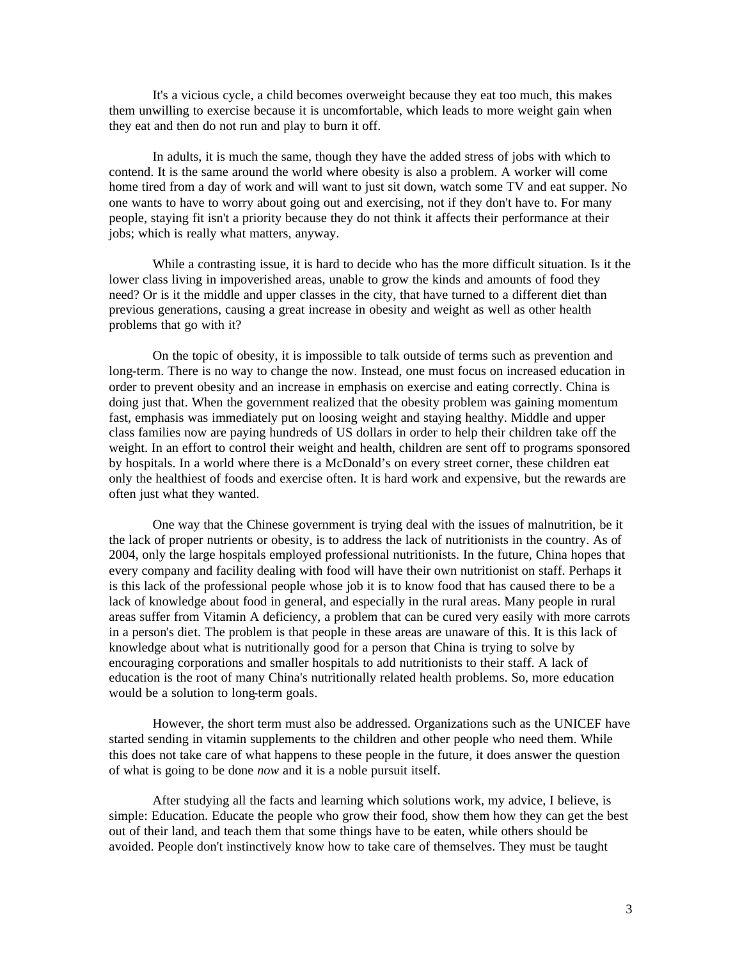It's a vicious cycle, a child becomes overweight because they eat too much, this makes them unwilling to exercise because it is uncomfortable, which leads to more weight gain when they eat and then do not run and play to burn it off.

In adults, it is much the same, though they have the added stress of jobs with which to contend. It is the same around the world where obesity is also a problem. A worker will come home tired from a day of work and will want to just sit down, watch some TV and eat supper. No one wants to have to worry about going out and exercising, not if they don't have to. For many people, staying fit isn't a priority because they do not think it affects their performance at their jobs; which is really what matters, anyway.

While a contrasting issue, it is hard to decide who has the more difficult situation. Is it the lower class living in impoverished areas, unable to grow the kinds and amounts of food they need? Or is it the middle and upper classes in the city, that have turned to a different diet than previous generations, causing a great increase in obesity and weight as well as other health problems that go with it?

On the topic of obesity, it is impossible to talk outside of terms such as prevention and long-term. There is no way to change the now. Instead, one must focus on increased education in order to prevent obesity and an increase in emphasis on exercise and eating correctly. China is doing just that. When the government realized that the obesity problem was gaining momentum fast, emphasis was immediately put on loosing weight and staying healthy. Middle and upper class families now are paying hundreds of US dollars in order to help their children take off the weight. In an effort to control their weight and health, children are sent off to programs sponsored by hospitals. In a world where there is a McDonald's on every street corner, these children eat only the healthiest of foods and exercise often. It is hard work and expensive, but the rewards are often just what they wanted.

One way that the Chinese government is trying deal with the issues of malnutrition, be it the lack of proper nutrients or obesity, is to address the lack of nutritionists in the country. As of 2004, only the large hospitals employed professional nutritionists. In the future, China hopes that every company and facility dealing with food will have their own nutritionist on staff. Perhaps it is this lack of the professional people whose job it is to know food that has caused there to be a lack of knowledge about food in general, and especially in the rural areas. Many people in rural areas suffer from Vitamin A deficiency, a problem that can be cured very easily with more carrots in a person's diet. The problem is that people in these areas are unaware of this. It is this lack of knowledge about what is nutritionally good for a person that China is trying to solve by encouraging corporations and smaller hospitals to add nutritionists to their staff. A lack of education is the root of many China's nutritionally related health problems. So, more education would be a solution to long-term goals.

However, the short term must also be addressed. Organizations such as the UNICEF have started sending in vitamin supplements to the children and other people who need them. While this does not take care of what happens to these people in the future, it does answer the question of what is going to be done *now* and it is a noble pursuit itself.

After studying all the facts and learning which solutions work, my advice, I believe, is simple: Education. Educate the people who grow their food, show them how they can get the best out of their land, and teach them that some things have to be eaten, while others should be avoided. People don't instinctively know how to take care of themselves. They must be taught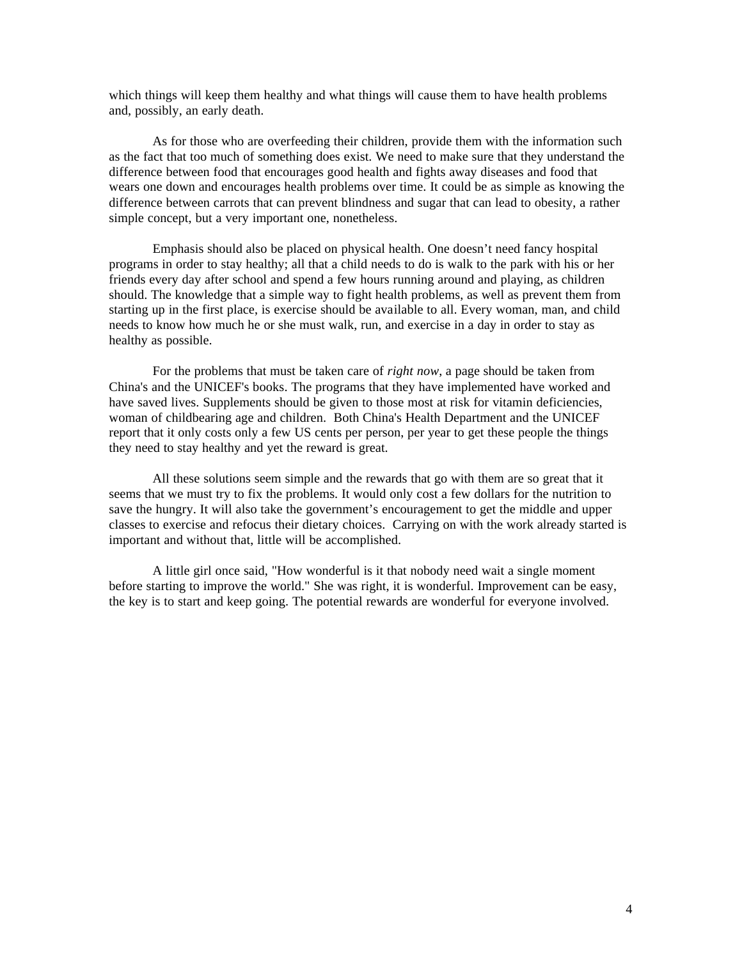which things will keep them healthy and what things will cause them to have health problems and, possibly, an early death.

As for those who are overfeeding their children, provide them with the information such as the fact that too much of something does exist. We need to make sure that they understand the difference between food that encourages good health and fights away diseases and food that wears one down and encourages health problems over time. It could be as simple as knowing the difference between carrots that can prevent blindness and sugar that can lead to obesity, a rather simple concept, but a very important one, nonetheless.

Emphasis should also be placed on physical health. One doesn't need fancy hospital programs in order to stay healthy; all that a child needs to do is walk to the park with his or her friends every day after school and spend a few hours running around and playing, as children should. The knowledge that a simple way to fight health problems, as well as prevent them from starting up in the first place, is exercise should be available to all. Every woman, man, and child needs to know how much he or she must walk, run, and exercise in a day in order to stay as healthy as possible.

For the problems that must be taken care of *right now*, a page should be taken from China's and the UNICEF's books. The programs that they have implemented have worked and have saved lives. Supplements should be given to those most at risk for vitamin deficiencies, woman of childbearing age and children. Both China's Health Department and the UNICEF report that it only costs only a few US cents per person, per year to get these people the things they need to stay healthy and yet the reward is great.

All these solutions seem simple and the rewards that go with them are so great that it seems that we must try to fix the problems. It would only cost a few dollars for the nutrition to save the hungry. It will also take the government's encouragement to get the middle and upper classes to exercise and refocus their dietary choices. Carrying on with the work already started is important and without that, little will be accomplished.

A little girl once said, "How wonderful is it that nobody need wait a single moment before starting to improve the world." She was right, it is wonderful. Improvement can be easy, the key is to start and keep going. The potential rewards are wonderful for everyone involved.